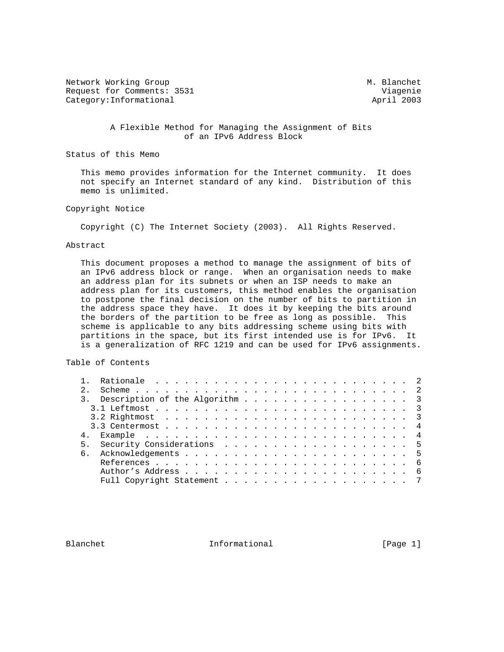Network Working Group Methods and M. Blanchet Request for Comments: 3531 Viagenie Category: Informational and April 2003

 A Flexible Method for Managing the Assignment of Bits of an IPv6 Address Block

Status of this Memo

 This memo provides information for the Internet community. It does not specify an Internet standard of any kind. Distribution of this memo is unlimited.

# Copyright Notice

Copyright (C) The Internet Society (2003). All Rights Reserved.

### Abstract

 This document proposes a method to manage the assignment of bits of an IPv6 address block or range. When an organisation needs to make an address plan for its subnets or when an ISP needs to make an address plan for its customers, this method enables the organisation to postpone the final decision on the number of bits to partition in the address space they have. It does it by keeping the bits around the borders of the partition to be free as long as possible. This scheme is applicable to any bits addressing scheme using bits with partitions in the space, but its first intended use is for IPv6. It is a generalization of RFC 1219 and can be used for IPv6 assignments.

# Table of Contents

| 2.             |                                |  |  |  |  |  |  |  |  |  |
|----------------|--------------------------------|--|--|--|--|--|--|--|--|--|
|                | Description of the Algorithm 3 |  |  |  |  |  |  |  |  |  |
|                |                                |  |  |  |  |  |  |  |  |  |
|                |                                |  |  |  |  |  |  |  |  |  |
|                |                                |  |  |  |  |  |  |  |  |  |
|                |                                |  |  |  |  |  |  |  |  |  |
| 5 <sub>1</sub> |                                |  |  |  |  |  |  |  |  |  |
| 6              |                                |  |  |  |  |  |  |  |  |  |
|                |                                |  |  |  |  |  |  |  |  |  |
|                |                                |  |  |  |  |  |  |  |  |  |
|                |                                |  |  |  |  |  |  |  |  |  |

Blanchet 11 Informational 1999 [Page 1]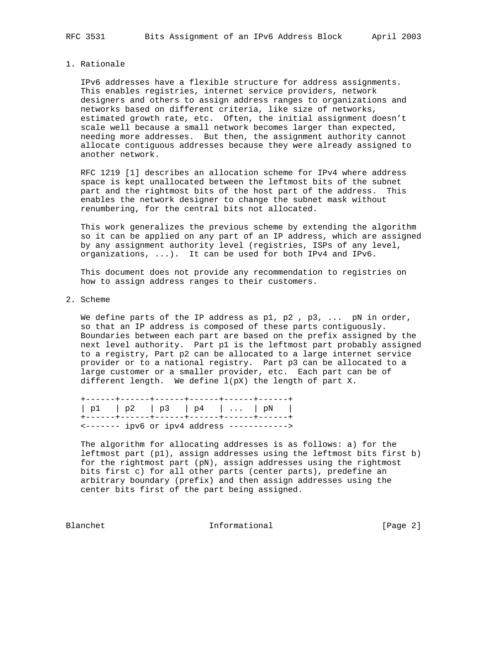### 1. Rationale

 IPv6 addresses have a flexible structure for address assignments. This enables registries, internet service providers, network designers and others to assign address ranges to organizations and networks based on different criteria, like size of networks, estimated growth rate, etc. Often, the initial assignment doesn't scale well because a small network becomes larger than expected, needing more addresses. But then, the assignment authority cannot allocate contiguous addresses because they were already assigned to another network.

 RFC 1219 [1] describes an allocation scheme for IPv4 where address space is kept unallocated between the leftmost bits of the subnet part and the rightmost bits of the host part of the address. This enables the network designer to change the subnet mask without renumbering, for the central bits not allocated.

 This work generalizes the previous scheme by extending the algorithm so it can be applied on any part of an IP address, which are assigned by any assignment authority level (registries, ISPs of any level, organizations, ...). It can be used for both IPv4 and IPv6.

 This document does not provide any recommendation to registries on how to assign address ranges to their customers.

2. Scheme

We define parts of the IP address as  $p1$ ,  $p2$ ,  $p3$ , ...  $pN$  in order, so that an IP address is composed of these parts contiguously. Boundaries between each part are based on the prefix assigned by the next level authority. Part p1 is the leftmost part probably assigned to a registry, Part p2 can be allocated to a large internet service provider or to a national registry. Part p3 can be allocated to a large customer or a smaller provider, etc. Each part can be of different length. We define l(pX) the length of part X.

|  | $ p1 $ $ p2 $ $ p3 $ $ p4 $ $\ldots$ $ pN $             |  |  |
|--|---------------------------------------------------------|--|--|
|  |                                                         |  |  |
|  | $\leftarrow$ ------- ipv6 or ipv4 address ------------> |  |  |

 The algorithm for allocating addresses is as follows: a) for the leftmost part (p1), assign addresses using the leftmost bits first b) for the rightmost part (pN), assign addresses using the rightmost bits first c) for all other parts (center parts), predefine an arbitrary boundary (prefix) and then assign addresses using the center bits first of the part being assigned.

Blanchet 1nformational [Page 2]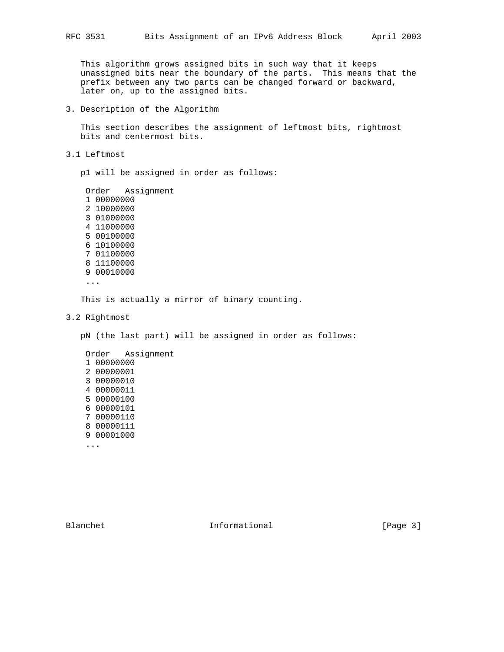This algorithm grows assigned bits in such way that it keeps unassigned bits near the boundary of the parts. This means that the prefix between any two parts can be changed forward or backward, later on, up to the assigned bits.

3. Description of the Algorithm

 This section describes the assignment of leftmost bits, rightmost bits and centermost bits.

3.1 Leftmost

p1 will be assigned in order as follows:

 Order Assignment 1 00000000 2 10000000 3 01000000 4 11000000 5 00100000 6 10100000 7 01100000 8 11100000 9 00010000

...

This is actually a mirror of binary counting.

3.2 Rightmost

pN (the last part) will be assigned in order as follows:

Blanchet 1nformational [Page 3]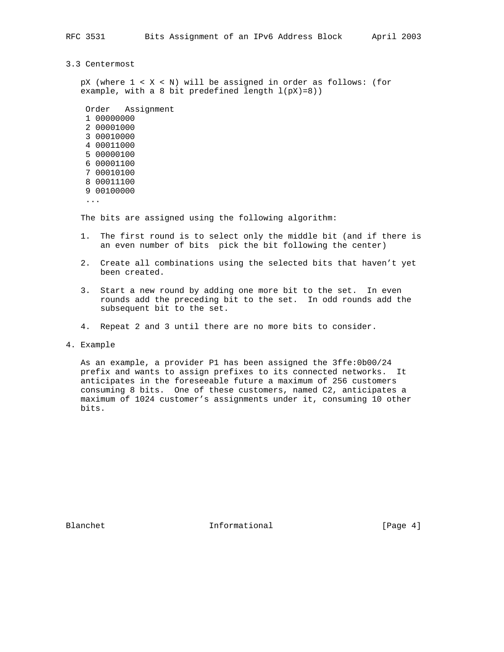- 
- 3.3 Centermost

 pX (where 1 < X < N) will be assigned in order as follows: (for example, with a 8 bit predefined length  $l(pX)=8$ ))

 Order Assignment 1 00000000 2 00001000 3 00010000 4 00011000 5 00000100 6 00001100 7 00010100 8 00011100 9 00100000

...

The bits are assigned using the following algorithm:

- 1. The first round is to select only the middle bit (and if there is an even number of bits pick the bit following the center)
- 2. Create all combinations using the selected bits that haven't yet been created.
- 3. Start a new round by adding one more bit to the set. In even rounds add the preceding bit to the set. In odd rounds add the subsequent bit to the set.
- 4. Repeat 2 and 3 until there are no more bits to consider.

4. Example

 As an example, a provider P1 has been assigned the 3ffe:0b00/24 prefix and wants to assign prefixes to its connected networks. It anticipates in the foreseeable future a maximum of 256 customers consuming 8 bits. One of these customers, named C2, anticipates a maximum of 1024 customer's assignments under it, consuming 10 other bits.

Blanchet 1nformational [Page 4]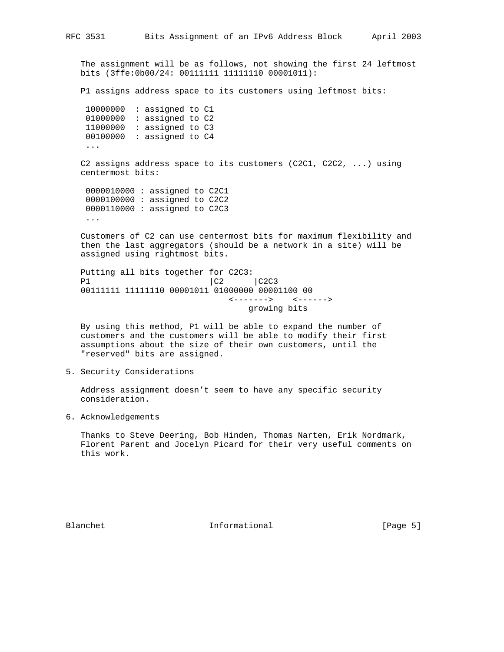The assignment will be as follows, not showing the first 24 leftmost bits (3ffe:0b00/24: 00111111 11111110 00001011):

P1 assigns address space to its customers using leftmost bits:

| 10000000 | : assigned to Cl |  |
|----------|------------------|--|
| 01000000 | : assigned to C2 |  |
| 11000000 | : assigned to C3 |  |
| 00100000 | : assigned to C4 |  |
|          |                  |  |

 C2 assigns address space to its customers (C2C1, C2C2, ...) using centermost bits:

 0000010000 : assigned to C2C1 0000100000 : assigned to C2C2 0000110000 : assigned to C2C3 ...

 Customers of C2 can use centermost bits for maximum flexibility and then the last aggregators (should be a network in a site) will be assigned using rightmost bits.

 Putting all bits together for C2C3: P1 |C2 |C2C3 00111111 11111110 00001011 01000000 00001100 00 <-------> <------> growing bits

 By using this method, P1 will be able to expand the number of customers and the customers will be able to modify their first assumptions about the size of their own customers, until the "reserved" bits are assigned.

# 5. Security Considerations

 Address assignment doesn't seem to have any specific security consideration.

6. Acknowledgements

 Thanks to Steve Deering, Bob Hinden, Thomas Narten, Erik Nordmark, Florent Parent and Jocelyn Picard for their very useful comments on this work.

Blanchet 1nformational [Page 5]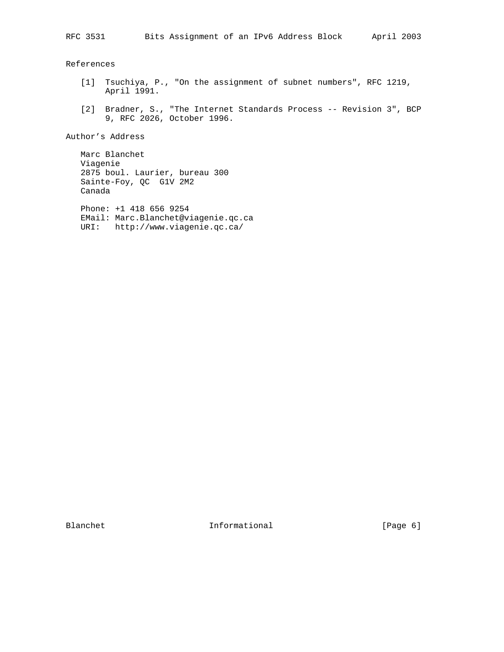References

- [1] Tsuchiya, P., "On the assignment of subnet numbers", RFC 1219, April 1991.
- [2] Bradner, S., "The Internet Standards Process -- Revision 3", BCP 9, RFC 2026, October 1996.

Author's Address

 Marc Blanchet Viagenie 2875 boul. Laurier, bureau 300 Sainte-Foy, QC G1V 2M2 Canada

 Phone: +1 418 656 9254 EMail: Marc.Blanchet@viagenie.qc.ca URI: http://www.viagenie.qc.ca/

Blanchet Informational [Page 6]